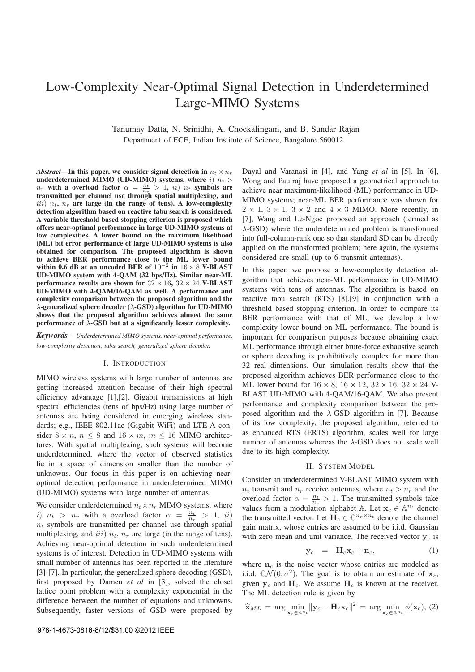# Low-Complexity Near-Optimal Signal Detection in Underdetermined Large-MIMO Systems

Tanumay Datta, N. Srinidhi, A. Chockalingam, and B. Sundar Rajan Department of ECE, Indian Institute of Science, Bangalore 560012.

Abstract—In this paper, we consider signal detection in  $n_t \times n_r$ underdetermined MIMO (UD-MIMO) systems, where i)  $n_t >$  $n_r$  with a overload factor  $\alpha = \frac{n_t}{n_r} > 1$ , ii)  $n_t$  symbols are transmitted per channel use through spatial multiplexing, and iii)  $n_t$ ,  $n_r$  are large (in the range of tens). A low-complexity detection algorithm based on reactive tabu search is considered. A variable threshold based stopping criterion is proposed which offers near-optimal performance in large UD-MIMO systems at low complexities. A lower bound on the maximum likelihood (ML) bit error performance of large UD-MIMO systems is also obtained for comparison. The proposed algorithm is shown to achieve BER performance close to the ML lower bound within 0.6 dB at an uncoded BER of  $10^{-2}$  in  $16 \times 8$  V-BLAST UD-MIMO system with 4-QAM (32 bps/Hz). Similar near-ML performance results are shown for  $32 \times 16$ ,  $32 \times 24$  V-BLAST UD-MIMO with 4-QAM/16-QAM as well. A performance and complexity comparison between the proposed algorithm and the  $\lambda$ -generalized sphere decoder ( $\lambda$ -GSD) algorithm for UD-MIMO shows that the proposed algorithm achieves almost the same performance of  $\lambda$ -GSD but at a significantly lesser complexity.

 $Keywords - Under determined MIMO systems, near-optimal performance,$ low-complexity detection, tabu search, generalized sphere decoder.

### I. INTRODUCTION

MIMO wireless systems with large number of antennas are getting increased attention because of their high spectral efficiency advantage [1],[2]. Gigabit transmissions at high spectral efficiencies (tens of bps/Hz) using large number of antennas are being considered in emerging wireless standards; e.g., IEEE 802.11ac (Gigabit WiFi) and LTE-A consider  $8 \times n$ ,  $n \leq 8$  and  $16 \times m$ ,  $m \leq 16$  MIMO architectures. With spatial multiplexing, such systems will become underdetermined, where the vector of observed statistics lie in a space of dimension smaller than the number of unknowns. Our focus in this paper is on achieving nearoptimal detection performance in underdetermined MIMO (UD-MIMO) systems with large number of antennas.

We consider underdetermined  $n_t \times n_r$  MIMO systems, where i)  $n_t > n_r$  with a overload factor  $\alpha = \frac{n_t}{n_r} > 1$ , ii)  $n_t$  symbols are transmitted per channel use through spatial multiplexing, and *iii*)  $n_t$ ,  $n_r$  are large (in the range of tens). Achieving near-optimal detection in such underdetermined systems is of interest. Detection in UD-MIMO systems with small number of antennas has been reported in the literature [3]-[7]. In particular, the generalized sphere decoding (GSD), first proposed by Damen et al in [3], solved the closet lattice point problem with a complexity exponential in the difference between the number of equations and unknowns. Subsequently, faster versions of GSD were proposed by

Dayal and Varanasi in [4], and Yang et al in [5]. In [6], Wong and Paulraj have proposed a geometrical approach to achieve near maximum-likelihood (ML) performance in UD-MIMO systems; near-ML BER performance was shown for  $2 \times 1$ ,  $3 \times 1$ ,  $3 \times 2$  and  $4 \times 3$  MIMO. More recently, in [7], Wang and Le-Ngoc proposed an approach (termed as  $\lambda$ -GSD) where the underdetermined problem is transformed into full-column-rank one so that standard SD can be directly applied on the transformed problem; here again, the systems considered are small (up to 6 transmit antennas).

In this paper, we propose a low-complexity detection algorithm that achieves near-ML performance in UD-MIMO systems with tens of antennas. The algorithm is based on reactive tabu search (RTS) [8],[9] in conjunction with a threshold based stopping criterion. In order to compare its BER performance with that of ML, we develop a low complexity lower bound on ML performance. The bound is important for comparison purposes because obtaining exact ML performance through either brute-force exhaustive search or sphere decoding is prohibitively complex for more than 32 real dimensions. Our simulation results show that the proposed algorithm achieves BER performance close to the ML lower bound for  $16 \times 8$ ,  $16 \times 12$ ,  $32 \times 16$ ,  $32 \times 24$  V-BLAST UD-MIMO with 4-QAM/16-QAM. We also present performance and complexity comparison between the proposed algorithm and the  $\lambda$ -GSD algorithm in [7]. Because of its low complexity, the proposed algorithm, referred to as enhanced RTS (ERTS) algorithm, scales well for large number of antennas whereas the  $\lambda$ -GSD does not scale well due to its high complexity.

#### II. SYSTEM MODEL

Consider an underdetermined V-BLAST MIMO system with  $n_t$  transmit and  $n_r$  receive antennas, where  $n_t > n_r$  and the overload factor  $\alpha = \frac{n_t}{n_r} > 1$ . The transmitted symbols take values from a modulation alphabet A. Let  $x_c \in A^{n_t}$  denote the transmitted vector. Let  $H_c \in \mathbb{C}^{n_r \times n_t}$  denote the channel gain matrix, whose entries are assumed to be i.i.d. Gaussian with zero mean and unit variance. The received vector  $y_c$  is

$$
\mathbf{y}_c = \mathbf{H}_c \mathbf{x}_c + \mathbf{n}_c, \tag{1}
$$

where  $n_c$  is the noise vector whose entries are modeled as i.i.d.  $CN(0, \sigma^2)$ . The goal is to obtain an estimate of  $x_c$ , given  $y_c$  and  $H_c$ . We assume  $H_c$  is known at the receiver. The ML detection rule is given by

$$
\widehat{\mathbf{x}}_{ML} = \arg\min_{\mathbf{x}_c \in \mathbb{A}^{n_t}} \|\mathbf{y}_c - \mathbf{H}_c \mathbf{x}_c\|^2 = \arg\min_{\mathbf{x}_c \in \mathbb{A}^{n_t}} \phi(\mathbf{x}_c), (2)
$$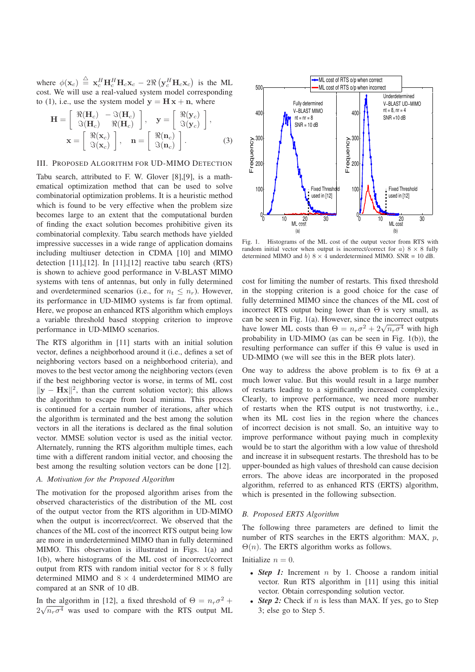where  $\phi(\mathbf{x}_c) \triangleq \mathbf{x}_c^H \mathbf{H}_c^H \mathbf{H}_c \mathbf{x}_c - 2 \Re \left( \mathbf{y}_c^H \mathbf{H}_c \mathbf{x}_c \right)$  is the ML cost. We will use a real-valued system model corresponding to (1), i.e., use the system model  $y = H x + n$ , where

$$
\mathbf{H} = \begin{bmatrix} \Re(\mathbf{H}_c) & -\Im(\mathbf{H}_c) \\ \Im(\mathbf{H}_c) & \Re(\mathbf{H}_c) \end{bmatrix}, \quad \mathbf{y} = \begin{bmatrix} \Re(\mathbf{y}_c) \\ \Im(\mathbf{y}_c) \end{bmatrix},
$$

$$
\mathbf{x} = \begin{bmatrix} \Re(\mathbf{x}_c) \\ \Im(\mathbf{x}_c) \end{bmatrix}, \quad \mathbf{n} = \begin{bmatrix} \Re(\mathbf{n}_c) \\ \Im(\mathbf{n}_c) \end{bmatrix}. \tag{3}
$$

# III. PROPOSED ALGORITHM FOR UD-MIMO DETECTION

Tabu search, attributed to F. W. Glover [8],[9], is a mathematical optimization method that can be used to solve combinatorial optimization problems. It is a heuristic method which is found to be very effective when the problem size becomes large to an extent that the computational burden of finding the exact solution becomes prohibitive given its combinatorial complexity. Tabu search methods have yielded impressive successes in a wide range of application domains including multiuser detection in CDMA [10] and MIMO detection [11],[12]. In [11],[12] reactive tabu search (RTS) is shown to achieve good performance in V-BLAST MIMO systems with tens of antennas, but only in fully determined and overdetermined scenarios (i.e., for  $n_t \leq n_r$ ). However, its performance in UD-MIMO systems is far from optimal. Here, we propose an enhanced RTS algorithm which employs a variable threshold based stopping criterion to improve performance in UD-MIMO scenarios.

The RTS algorithm in [11] starts with an initial solution vector, defines a neighborhood around it (i.e., defines a set of neighboring vectors based on a neighborhood criteria), and moves to the best vector among the neighboring vectors (even if the best neighboring vector is worse, in terms of ML cost  $\|\mathbf{y} - \mathbf{H}\mathbf{x}\|^2$ , than the current solution vector); this allows the algorithm to escape from local minima. This process is continued for a certain number of iterations, after which the algorithm is terminated and the best among the solution vectors in all the iterations is declared as the final solution vector. MMSE solution vector is used as the initial vector. Alternately, running the RTS algorithm multiple times, each time with a different random initial vector, and choosing the best among the resulting solution vectors can be done [12].

### A. Motivation for the Proposed Algorithm

The motivation for the proposed algorithm arises from the observed characteristics of the distribution of the ML cost of the output vector from the RTS algorithm in UD-MIMO when the output is incorrect/correct. We observed that the chances of the ML cost of the incorrect RTS output being low are more in underdetermined MIMO than in fully determined MIMO. This observation is illustrated in Figs. 1(a) and 1(b), where histograms of the ML cost of incorrect/correct output from RTS with random initial vector for  $8 \times 8$  fully determined MIMO and  $8 \times 4$  underdetermined MIMO are compared at an SNR of 10 dB.

In the algorithm in [12], a fixed threshold of  $\Theta = n_r \sigma^2 +$  $2\sqrt{n_r\sigma^4}$  was used to compare with the RTS output ML



Fig. 1. Histograms of the ML cost of the output vector from RTS with random initial vector when output is incorrect/correct for a)  $8 \times 8$  fully determined MIMO and b)  $8 \times 4$  underdetermined MIMO. SNR = 10 dB.

cost for limiting the number of restarts. This fixed threshold in the stopping criterion is a good choice for the case of fully determined MIMO since the chances of the ML cost of incorrect RTS output being lower than  $\Theta$  is very small, as can be seen in Fig. 1(a). However, since the incorrect outputs have lower ML costs than  $\Theta = n_r \sigma^2 + 2\sqrt{n_r \sigma^4}$  with high probability in UD-MIMO (as can be seen in Fig. 1(b)), the resulting performance can suffer if this Θ value is used in UD-MIMO (we will see this in the BER plots later).

One way to address the above problem is to fix  $\Theta$  at a much lower value. But this would result in a large number of restarts leading to a significantly increased complexity. Clearly, to improve performance, we need more number of restarts when the RTS output is not trustworthy, i.e., when its ML cost lies in the region where the chances of incorrect decision is not small. So, an intuitive way to improve performance without paying much in complexity would be to start the algorithm with a low value of threshold and increase it in subsequent restarts. The threshold has to be upper-bounded as high values of threshold can cause decision errors. The above ideas are incorporated in the proposed algorithm, referred to as enhanced RTS (ERTS) algorithm, which is presented in the following subsection.

#### B. Proposed ERTS Algorithm

The following three parameters are defined to limit the number of RTS searches in the ERTS algorithm: MAX, p,  $\Theta(n)$ . The ERTS algorithm works as follows.

# Initialize  $n = 0$ .

- Step 1: Increment  $n$  by 1. Choose a random initial vector. Run RTS algorithm in [11] using this initial vector. Obtain corresponding solution vector.
- Step 2: Check if n is less than MAX. If yes, go to Step 3; else go to Step 5.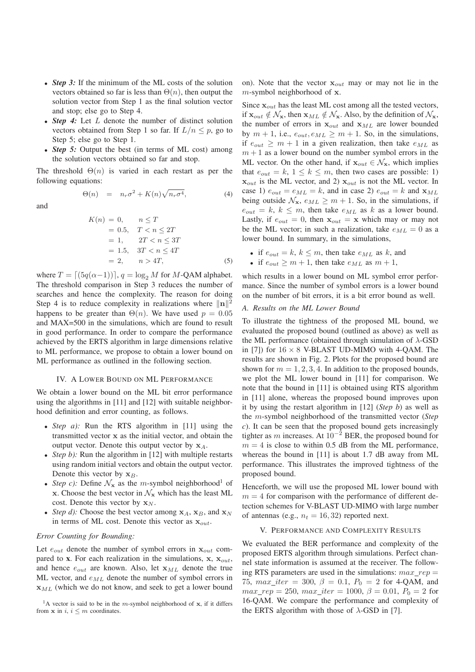- Step 3: If the minimum of the ML costs of the solution vectors obtained so far is less than  $\Theta(n)$ , then output the solution vector from Step 1 as the final solution vector and stop; else go to Step 4.
- Step 4: Let L denote the number of distinct solution vectors obtained from Step 1 so far. If  $L/n \leq p$ , go to Step 5; else go to Step 1.
- *Step 5*: Output the best (in terms of ML cost) among the solution vectors obtained so far and stop.

The threshold  $\Theta(n)$  is varied in each restart as per the following equations:

$$
\Theta(n) = n_r \sigma^2 + K(n) \sqrt{n_r \sigma^4}, \qquad (4)
$$

and

$$
K(n) = 0, \t n \le T
$$
  
= 0.5,  $T < n \le 2T$   
= 1,  $2T < n \le 3T$   
= 1.5,  $3T < n \le 4T$   
= 2,  $n > 4T$ , (5)

where  $T = [(5q(\alpha-1))]$ ,  $q = \log_2 M$  for M-QAM alphabet. The threshold comparison in Step 3 reduces the number of searches and hence the complexity. The reason for doing Step 4 is to reduce complexity in realizations where  $\|\mathbf{n}\|^2$ happens to be greater than  $\Theta(n)$ . We have used  $p = 0.05$ and MAX=500 in the simulations, which are found to result in good performance. In order to compare the performance achieved by the ERTS algorithm in large dimensions relative to ML performance, we propose to obtain a lower bound on ML performance as outlined in the following section.

#### IV. A LOWER BOUND ON ML PERFORMANCE

We obtain a lower bound on the ML bit error performance using the algorithms in [11] and [12] with suitable neighborhood definition and error counting, as follows.

- *Step a*): Run the RTS algorithm in [11] using the transmitted vector x as the initial vector, and obtain the output vector. Denote this output vector by  $x_A$ .
- Step b): Run the algorithm in  $[12]$  with multiple restarts using random initial vectors and obtain the output vector. Denote this vector by  $x_B$ .
- Step c): Define  $\mathcal{N}_x$  as the m-symbol neighborhood<sup>1</sup> of x. Choose the best vector in  $\mathcal{N}_x$  which has the least ML cost. Denote this vector by  $x_N$ .
- Step d): Choose the best vector among  $x_A$ ,  $x_B$ , and  $x_N$ in terms of ML cost. Denote this vector as  $\mathbf{x}_{out}$ .

# Error Counting for Bounding:

Let  $e_{out}$  denote the number of symbol errors in  $x_{out}$  compared to x. For each realization in the simulations,  $x, x_{out}$ , and hence  $e_{out}$  are known. Also, let  $x_{ML}$  denote the true ML vector, and  $e_{ML}$  denote the number of symbol errors in  $x_{ML}$  (which we do not know, and seek to get a lower bound

<sup>1</sup>A vector is said to be in the m-symbol neighborhood of  $x$ , if it differs from  $x$  in  $i, i \leq m$  coordinates.

on). Note that the vector  $x_{out}$  may or may not lie in the m-symbol neighborhood of x.

Since  $x_{out}$  has the least ML cost among all the tested vectors, if  $\mathbf{x}_{out} \notin \mathcal{N}_{\mathbf{x}}$ , then  $\mathbf{x}_{ML} \notin \mathcal{N}_{\mathbf{x}}$ . Also, by the definition of  $\mathcal{N}_{\mathbf{x}}$ , the number of errors in  $x_{out}$  and  $x_{ML}$  are lower bounded by  $m + 1$ , i.e.,  $e_{out}$ ,  $e_{ML} \ge m + 1$ . So, in the simulations, if  $e_{out} \geq m + 1$  in a given realization, then take  $e_{ML}$  as  $m + 1$  as a lower bound on the number symbol errors in the ML vector. On the other hand, if  $x_{out} \in \mathcal{N}_x$ , which implies that  $e_{out} = k$ ,  $1 \leq k \leq m$ , then two cases are possible: 1)  $x_{out}$  is the ML vector, and 2)  $x_{out}$  is not the ML vector. In case 1)  $e_{out} = e_{ML} = k$ , and in case 2)  $e_{out} = k$  and  $x_{ML}$ being outside  $\mathcal{N}_{\mathbf{x}}$ ,  $e_{ML} \geq m + 1$ . So, in the simulations, if  $e_{out} = k, k \leq m$ , then take  $e_{ML}$  as k as a lower bound. Lastly, if  $e_{out} = 0$ , then  $\mathbf{x}_{out} = \mathbf{x}$  which may or may not be the ML vector; in such a realization, take  $e_{ML} = 0$  as a lower bound. In summary, in the simulations,

- if  $e_{out} = k$ ,  $k \leq m$ , then take  $e_{ML}$  as k, and
- if  $e_{out} \ge m + 1$ , then take  $e_{ML}$  as  $m + 1$ ,

which results in a lower bound on ML symbol error performance. Since the number of symbol errors is a lower bound on the number of bit errors, it is a bit error bound as well.

#### A. Results on the ML Lower Bound

To illustrate the tightness of the proposed ML bound, we evaluated the proposed bound (outlined as above) as well as the ML performance (obtained through simulation of  $\lambda$ -GSD in [7]) for  $16 \times 8$  V-BLAST UD-MIMO with 4-QAM. The results are shown in Fig. 2. Plots for the proposed bound are shown for  $m = 1, 2, 3, 4$ . In addition to the proposed bounds, we plot the ML lower bound in [11] for comparison. We note that the bound in [11] is obtained using RTS algorithm in [11] alone, whereas the proposed bound improves upon it by using the restart algorithm in  $[12]$  (*Step b*) as well as the  $m$ -symbol neighborhood of the transmitted vector (Step c). It can be seen that the proposed bound gets increasingly tighter as m increases. At  $10^{-2}$  BER, the proposed bound for  $m = 4$  is close to within 0.5 dB from the ML performance, whereas the bound in [11] is about 1.7 dB away from ML performance. This illustrates the improved tightness of the proposed bound.

Henceforth, we will use the proposed ML lower bound with  $m = 4$  for comparison with the performance of different detection schemes for V-BLAST UD-MIMO with large number of antennas (e.g.,  $n_t = 16, 32$ ) reported next.

#### V. PERFORMANCE AND COMPLEXITY RESULTS

We evaluated the BER performance and complexity of the proposed ERTS algorithm through simulations. Perfect channel state information is assumed at the receiver. The following RTS parameters are used in the simulations:  $max\; rep =$ 75,  $max\_iter = 300, \ \beta = 0.1, \ P_0 = 2$  for 4-QAM, and  $max\_rep = 250$ ,  $max\_iter = 1000$ ,  $\beta = 0.01$ ,  $P_0 = 2$  for 16-QAM. We compare the performance and complexity of the ERTS algorithm with those of  $\lambda$ -GSD in [7].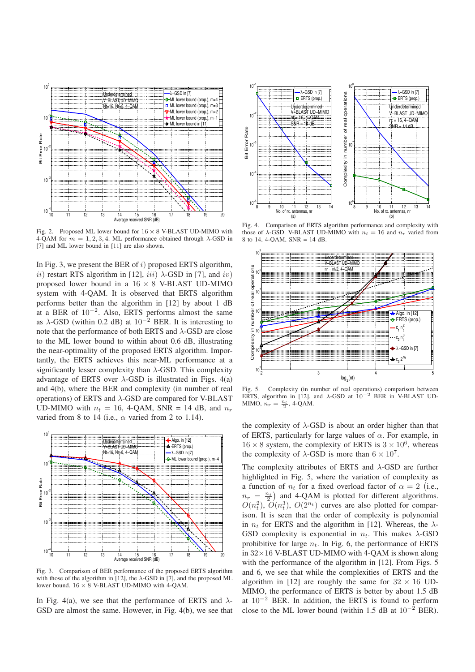

Fig. 2. Proposed ML lower bound for  $16 \times 8$  V-BLAST UD-MIMO with 4-QAM for  $m = 1, 2, 3, 4$ . ML performance obtained through  $\lambda$ -GSD in [7] and ML lower bound in [11] are also shown.

In Fig. 3, we present the BER of  $i$ ) proposed ERTS algorithm, ii) restart RTS algorithm in [12],  $iii)$   $\lambda$ -GSD in [7], and  $iv)$ proposed lower bound in a  $16 \times 8$  V-BLAST UD-MIMO system with 4-QAM. It is observed that ERTS algorithm performs better than the algorithm in [12] by about 1 dB at a BER of  $10^{-2}$ . Also, ERTS performs almost the same as  $\lambda$ -GSD (within 0.2 dB) at 10<sup>-2</sup> BER. It is interesting to note that the performance of both ERTS and  $\lambda$ -GSD are close to the ML lower bound to within about 0.6 dB, illustrating the near-optimality of the proposed ERTS algorithm. Importantly, the ERTS achieves this near-ML performance at a significantly lesser complexity than  $\lambda$ -GSD. This complexity advantage of ERTS over  $\lambda$ -GSD is illustrated in Figs. 4(a) and 4(b), where the BER and complexity (in number of real operations) of ERTS and  $\lambda$ -GSD are compared for V-BLAST UD-MIMO with  $n_t = 16$ , 4-QAM, SNR = 14 dB, and  $n_r$ varied from 8 to 14 (i.e.,  $\alpha$  varied from 2 to 1.14).



Fig. 3. Comparison of BER performance of the proposed ERTS algorithm with those of the algorithm in [12], the  $\lambda$ -GSD in [7], and the proposed ML lower bound. 16 × 8 V-BLAST UD-MIMO with 4-QAM.

In Fig. 4(a), we see that the performance of ERTS and  $\lambda$ -GSD are almost the same. However, in Fig. 4(b), we see that



Fig. 4. Comparison of ERTS algorithm performance and complexity with those of  $\lambda$ -GSD. V-BLAST UD-MIMO with  $n_t = 16$  and  $n_r$  varied from 8 to 14, 4-QAM, SNR = 14 dB.



Fig. 5. Complexity (in number of real operations) comparison between ERTS, algorithm in [12], and  $\lambda$ -GSD at  $10^{-2}$  BER in V-BLAST UD-MIMO,  $n_r = \frac{n_t}{2}$ , 4-QAM.

the complexity of  $\lambda$ -GSD is about an order higher than that of ERTS, particularly for large values of  $\alpha$ . For example, in  $16 \times 8$  system, the complexity of ERTS is  $3 \times 10^6$ , whereas the complexity of  $\lambda$ -GSD is more than  $6 \times 10^7$ .

The complexity attributes of ERTS and  $\lambda$ -GSD are further highlighted in Fig. 5, where the variation of complexity as a function of  $n_t$  for a fixed overload factor of  $\alpha = 2$  (i.e.,  $n_r = \frac{n_t}{2}$  and 4-QAM is plotted for different algorithms.  $O(n_t^2)$ ,  $O(n_t^3)$ ,  $O(2^{n_t})$  curves are also plotted for comparison. It is seen that the order of complexity is polynomial in  $n_t$  for ERTS and the algorithm in [12]. Whereas, the  $\lambda$ -GSD complexity is exponential in  $n_t$ . This makes  $\lambda$ -GSD prohibitive for large  $n_t$ . In Fig. 6, the performance of ERTS in  $32 \times 16$  V-BLAST UD-MIMO with 4-QAM is shown along with the performance of the algorithm in [12]. From Figs. 5 and 6, we see that while the complexities of ERTS and the algorithm in [12] are roughly the same for  $32 \times 16$  UD-MIMO, the performance of ERTS is better by about 1.5 dB at  $10^{-2}$  BER. In addition, the ERTS is found to perform close to the ML lower bound (within 1.5 dB at  $10^{-2}$  BER).